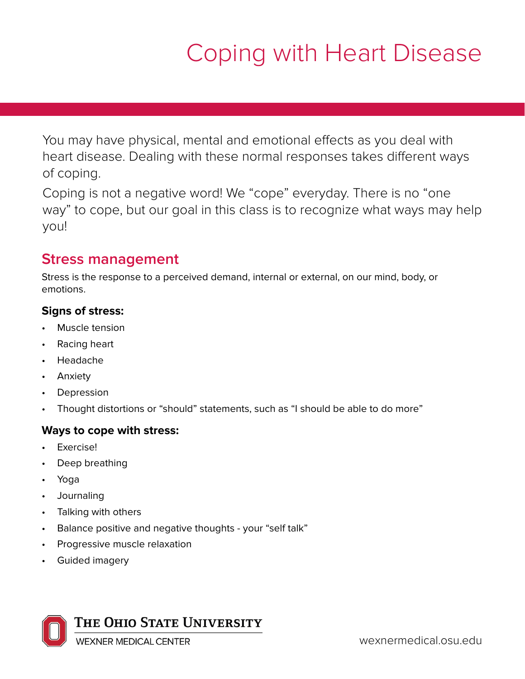# Coping with Heart Disease

You may have physical, mental and emotional effects as you deal with heart disease. Dealing with these normal responses takes different ways of coping.

Coping is not a negative word! We "cope" everyday. There is no "one way" to cope, but our goal in this class is to recognize what ways may help you!

### **Stress management**

Stress is the response to a perceived demand, internal or external, on our mind, body, or emotions.

#### **Signs of stress:**

- Muscle tension
- Racing heart
- Headache
- Anxiety
- Depression
- Thought distortions or "should" statements, such as "I should be able to do more"

#### **Ways to cope with stress:**

- Exercise!
- Deep breathing
- Yoga
- Journaling
- Talking with others
- Balance positive and negative thoughts your "self talk"
- Progressive muscle relaxation
- Guided imagery



**WEXNER MEDICAL CENTER**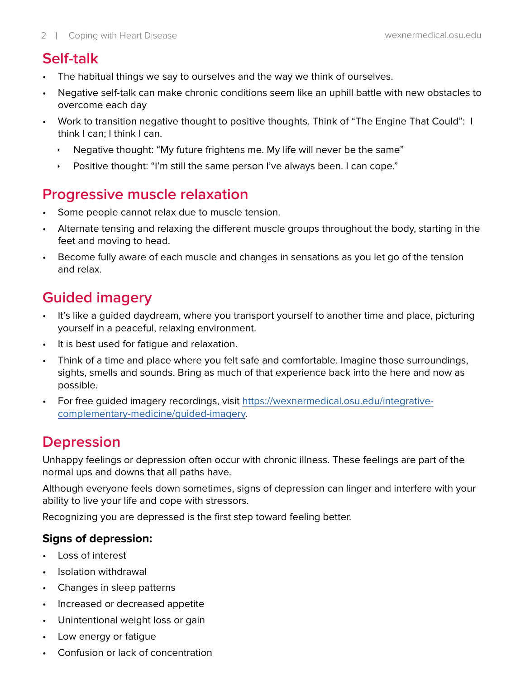### **Self-talk**

- The habitual things we say to ourselves and the way we think of ourselves.
- Negative self-talk can make chronic conditions seem like an uphill battle with new obstacles to overcome each day
- Work to transition negative thought to positive thoughts. Think of "The Engine That Could": I think I can; I think I can.
	- $\cdot$  Negative thought: "My future frightens me. My life will never be the same"
	- **EXECT AT A Positive thought: "I'm still the same person I've always been. I can cope."**

### **Progressive muscle relaxation**

- Some people cannot relax due to muscle tension.
- Alternate tensing and relaxing the different muscle groups throughout the body, starting in the feet and moving to head.
- Become fully aware of each muscle and changes in sensations as you let go of the tension and relax.

## **Guided imagery**

- It's like a guided daydream, where you transport yourself to another time and place, picturing yourself in a peaceful, relaxing environment.
- It is best used for fatigue and relaxation.
- Think of a time and place where you felt safe and comfortable. Imagine those surroundings, sights, smells and sounds. Bring as much of that experience back into the here and now as possible.
- For free guided imagery recordings, visit [https://wexnermedical.osu.edu/integrative](https://wexnermedical.osu.edu/integrative-complementary-medicine/guided-imagery)[complementary-medicine/guided-imagery](https://wexnermedical.osu.edu/integrative-complementary-medicine/guided-imagery).

## **Depression**

Unhappy feelings or depression often occur with chronic illness. These feelings are part of the normal ups and downs that all paths have.

Although everyone feels down sometimes, signs of depression can linger and interfere with your ability to live your life and cope with stressors.

Recognizing you are depressed is the first step toward feeling better.

#### **Signs of depression:**

- Loss of interest
- Isolation withdrawal
- Changes in sleep patterns
- Increased or decreased appetite
- Unintentional weight loss or gain
- Low energy or fatigue
- Confusion or lack of concentration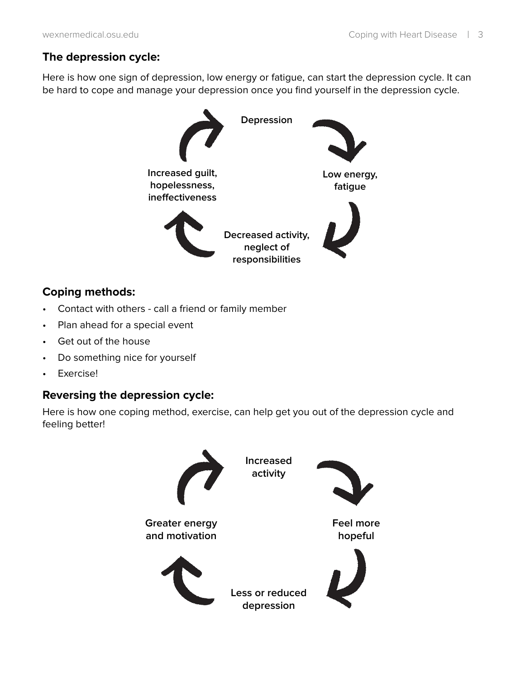#### **The depression cycle:**

Here is how one sign of depression, low energy or fatigue, can start the depression cycle. It can be hard to cope and manage your depression once you find yourself in the depression cycle.



#### **Coping methods:**

- Contact with others call a friend or family member
- Plan ahead for a special event
- Get out of the house
- Do something nice for yourself
- Exercise!

#### **Reversing the depression cycle:**

Here is how one coping method, exercise, can help get you out of the depression cycle and feeling better!